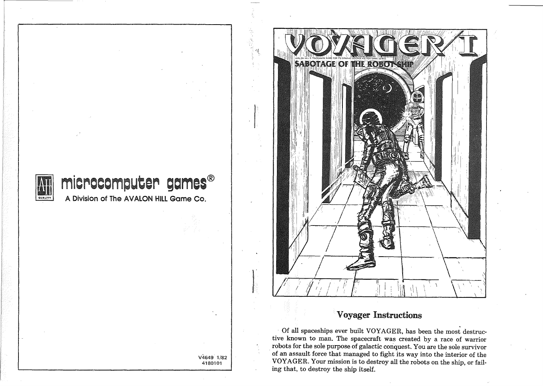

# A Division of The AVALON Hill Game Co. microcomputer games®

V4649 1/82 4180101

なしき はじゃ



## Voyager Instructions

. Of all spaceships ever built VOYAGER, has been the most destructive known to man. The spacecraft was created by a race of warrior robots for the sole purpose of galactic conquest. You are the sole survivor . of an assault force that managed to fight its way into the interior of the VOYAGER. Your mission is to destroy all the robots on the ship, or failing that, to destroy the ship itself.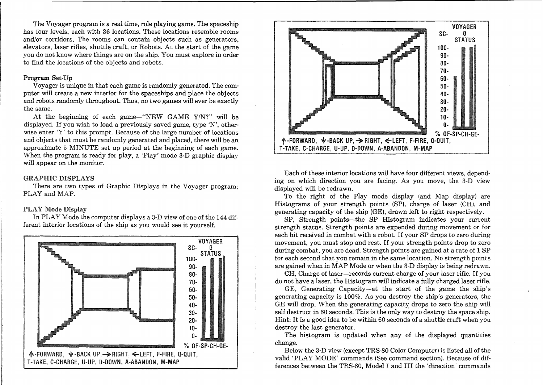The Voyager program is a real time, role playing game. The spaceship has four levels, each with 36 locations. These locations resemble rooms and/or corridors. The rooms can contain objects such as generators, elevators, laser rifles, shuttle craft, or Robots. At the start of the game you do not know where things are on the ship. You must explore in order to find the locations of the objects and robots.

### Program Set-Up

Voyager is unique in that each game is randomly generated. The computer will create a new interior for the spaceships and place the objects and robots randomly throughout. Thus, no two games will ever be exactly the same.

At the beginning of each game-"NEW GAME  $Y/N$ ?" will be displayed. If you wish to load a previously saved game, type 'N', otherwise enter 'Y' to this prompt. Because of the large number of locations and objects that must be randomly generated and placed, there will be an approximate 5 MINUTE set up period at the beginning of each game. When the program is ready for play, a 'Play' mode 3-D graphic display will appear on the monitor.

### GRAPHIC DISPLAYS

There are two types of Graphic Displays in the Voyager program; PLAY and MAP.

### PLAY Mode Display

In PLAY Mode the computer displays a 3-D view of one of the 144 different interior locations of the ship as you would see it yourself.





Each of these interior locations will have four different views, depending on which direction you are facing. As you move, the 3-D view displayed will be redrawn.

To the right of the Play mode display (and Map display) are Histograms of your strength points (SP), charge of laser (CH), and generating capacity of the ship (GE), drawn left to right respectively.

SP, Strength points-the SP Histogram indicates your current strength status. Strength points are expended during movement or for each hit received in combat with <sup>a</sup> robot. If your SP drops to zero during movement, you must stop and rest. If your strength points drop to zero during combat, you are dead. Strength points are gained at a rate of 1 SP for each second that you remain in the same location. No strength points are gained when in MAP Mode or when the 3-D display is being redrawn.

CH, Charge of laser-records current charge of your laser rifle. If you do not have a laser, the Histogram will indicate a fully charged laser rifle.

GE, Generating Capacity-at the start of the game the ship's generating capacity is 100%. As you destroy the ship's generators, the GE will drop. When the generating capacity drops to zero the ship will self destruct in 60 seconds. This is the only way to destroy the space ship. Hint: It is a good idea to be within 60 seconds of a shuttle craft when you destroy the last generator.

The histogram is updated when any of the displayed quantities change.

Below the 3-D view (except TRS-80 Color Computer) is listed all of the valid 'PLAY MODE' commands (See command section). Because of differences between the TRS-80, Model I and III the 'direction' commands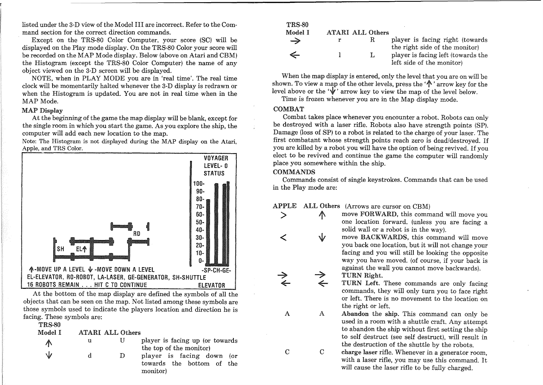listed under the 3-D view of the Model III are incorrect. Refer to the Command section for the correct direction commands.

Except on the TRS-80 Color Computer, your score (SC) will be displayed on the Play mode display. On the TRS-80 Color your score will be recorded on the MAP Mode display. Below (above on Atari and CBM) the Histogram (except the TRS-80 Color Computer) the name of any object viewed on the 3-D screen will be displayed.

NOTE, when in PLAY MODE you are in 'real time'. The real time clock will be momentarily halted whenever the 3-D display is redrawn or when the Histogram is updated. You are not in real time when in the MAP Mode.

### MAP Display

At the beginning of the game the map display will be blank, except for the single room in which you start the game. As you explore the ship, the computer will add each new location to the map.

Note: The Histogram is not displayed during the MAP display on the Atari. Apple, and TRS Color.



At the bottom of the map display are defined the symbols of all the objects that can be seen on the map. Not listed among these symbols are those symbols used to indicate the players location and direction he is facing. These symbols are:  $\sim$ mm $\sim$  90

| <b>TRS-90</b> |   |                         |                                                                    |
|---------------|---|-------------------------|--------------------------------------------------------------------|
| Model I       |   | <b>ATARI ALL Others</b> |                                                                    |
| Л             | u |                         | player is facing up (or towards<br>the top of the monitor)         |
| 业             | d | $\Box$                  | player is facing down (or<br>towards the bottom of the<br>monitor) |

| <b>TRS-80</b> |                         |                                                                    |
|---------------|-------------------------|--------------------------------------------------------------------|
| Model I       | <b>ATARI ALL Others</b> |                                                                    |
| $\rightarrow$ | R.                      | player is facing right (towards)<br>the right side of the monitor) |
| ⇐             |                         | player is facing left (towards the<br>left side of the monitor)    |

When the map display is entered, only the level that you are on will be When the map display is entered, only the level that you are on will be shown. To view a map of the other levels, press the  $'\uparrow$  arrow key for the level above or the ' $\mathbf{\hat{V}}$ ' arrow key to view the map of the level below.

Time is frozen whenever you are in the Map display mode.

### COMBAT

Combat takes place whenever you encounter a robot. Robots can only be destroyed with a laser rifle. Robots also have strength points (SP). Damage (loss of SP) to a robot is related to the charge of your laser. The first combatant whose strength points reach zero is dead/destroyed. If you are killed by <sup>a</sup> robot you will have the option of being revived. If you elect to be revived and continue the game the computer will randomly place you somewhere within the ship.

### COMMANDS

Commands consist of single keystrokes. Commands that can be used in the Play mode are:

### APPLE ALL Others (Arrows are cursor on CBM)

>

C

A

 $\,<\,$ 

 $\overrightarrow{ }$ 

- A move FORWARD, this command will move you one location forward. (unless you are facing a solid wall or a robot is in the way).
- $\sqrt{ }$ move BACKWARDS, this command will move you back one location, but it will not change your facing and you will still be looking the opposite way you have moved. (of course, if your back is against the wall you cannot move backwards). →

#### TURN Right.  $\leftarrow$

TURN Left. These commands are only facing commands, they will only turn you to face right or left. There is no movement to the location on the right or left.

C A Abandon the ship. This command can only be used in a room with a shuttle craft. Any attempt to abandon the ship without first setting the ship to self destruct (see self destruct), will result in the destruction of the shuttle by the robots.

charge laser rifle. Whenever in a generator room, with a laser rifle, you may use this command. It will cause the laser rifle to be fully charged.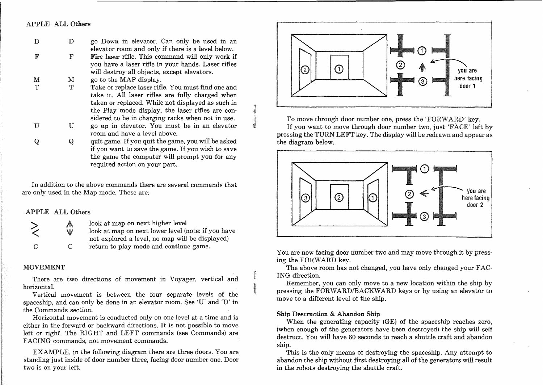### APPLE ALL Others

| D           |   | go Down in elevator. Can only be used in an       |
|-------------|---|---------------------------------------------------|
|             |   | elevator room and only if there is a level below. |
| $\mathbf F$ | ᢑ | Fire laser rifle. This command will only work if  |

- Fire laser rifle. This command will only work if you have a laser rifle in your hands. Laser rifles will destroy all objects, except elevators. F
- go to the MAP display. M M
- Take or replace laser rifle. You must find one and take it. All laser rifles are fully charged when taken or replaced. While not displayed as such in the Play mode display, the laser rifles are considered to be in charging racks when not in use.  $T$  $\mathbf{T}$
- go up in elevator. You must be in an elevator room and have a level above. U **T**
- quit game. If you quit the game, you will be asked if you want to save the game. If you wish to save the game the computer will prompt you for any required action on your part. Q Q

In addition to the above commands there are several commands that are only used in the Map mode. These are:

### APPLE ALL Others



look at map on next higher level

look at map on next lower level (note: if you have not explored a level, no map will be displayed) return to play mode and continue game.

#### MOVEMENT

There are two directions of movement in Voyager, vertical and horizontal.

Vertical movement is between the four separate levels of the spaceship, and can only be done in an elevator room. See 'U' and 'D' in the Commands section.

Horizontal movement is conducted only on one level at a time and is either in the forward or backward directions. It is not possible to move left or right. The RIGHT and LEFT commands (see Commands) are FACING commands, not movement commands.

EXAMPLE, in the following diagram there are three doors. You are standing just inside of door number three, facing door number one. Door two is on your left.



To move through door number one, press the 'FORWARD' key. If you want to move through door number two, just 'FAcE' left by pressing the TURN LEFT key. The display will be redrawn and appear as the diagram below.



You are now facing door number two and may move through it by pressing the FORWARD key.

The above room has not changed, you have only changed your FAC-ING direction.

Remember, you can only move to a new location within the ship by pressing the FORWARD/BACKWARD keys or by using an elevator to move to a different level of the ship.

#### Ship Destruction & Abandon Ship

When the generating capacity (GE) of the spaceship reaches zero, (when enough of the generators have been destroyed) the ship will self destruct. You will have 60 seconds to reach a shuttle craft and abandon ship.

This is the only means of destroying the spaceship. Any attempt to abandon the ship without first destroying all of the generators will result in the robots destroying the shuttle craft.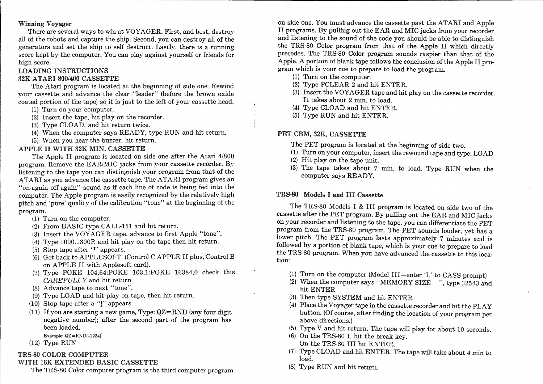### Winning Voyager

There are several ways to win at VOYAGER. First, and best, destroy all of the robots and capture the ship. Second, you can destroy all of the generators and set the ship to self destruct. Lastly, there is a running score kept by the computer. You can play against yourself or friends for high score.

### LOADING INSTRUCTIONS

### 32K ATARI 800/400 CASSETTE

The Atari program is located at the beginning of side one. Rewind your cassette and advance the clear "leader" (before the brown oxide coated portion of the tape) so it is just to the left of your cassette head.

- (1) Turn on your computer.
- (2) Insert the tape, hit play on the recorder.
- (3) Type CLOAD, and hit return twice.
- (4) When the computer says READY, type RUN and hit return.
- (5) When you hear the buzzer, hit return.

### APPLE II WITH 32K MIN. CASSETTE

The Apple II program is located on side one after the Atari 4/800 program. Remove the EAR/MIC jacks from your cassette recorder. By listening to the tape you can distinguish your program from that of the ATARI as you advance the cassette tape. The ATARI program gives an "on-again off-again" sound as if each line of code is being fed into the computer. The Apple program is easily recognized by the relatively high pitch and 'pure' quality of the calibration "tone" at the beginning of the program.

- (1) Turn on the computer.
- (2) From BASIC type CALL-I5I and hit return.
- (3) Insert the VOYAGER tape, advance to first Apple "tone".
- (4) Type IOOO.I300R and hit play on the tape then hit return.
- (5) Stop tape after  $*$  appears.
- (6) Get back to APPLESOFT. (Control C APPLE II plus, Control B on APPLE II with Applesoft card).
- (7) Type POKE I04,64:POKE I03,I:POKE 16384,0 check this *CAREFULLY* and hit return.
- (8) Advance tape to next "tone".
- (9) Type LOAD and hit play on tape, then hit return.
- (10) Stop tape after a "I" appears.
- (11) If you are starting a new game, Type: QZ=RND (any four digit negative number); after the second part of the program has been loaded.
	- Example: QZ=RND(-1234)
- (12) Type RUN

### TRS-80 COLOR COMPUTER

### WITH 16K EXTENDED BASIC CASSETTE

The TRS-80 Color computer program is the third computer program

on side one. You must advance the cassette past the ATARI and Apple II programs. By pulling out the EAR and MIC jacks from your recorder and listening to the sound of the code you should be able to distinguish the TRS-80 Color program from that of the Apple II which directly precedes. The TRS-80 Color program sounds raspier than that of the Apple. A portion of blank tape follows the conclusion of the Apple II program which is your cue to prepare to load the program.

- (1) Turn on the computer.
- (2) Type PCLEAR 2 and hit ENTER.
- (3) Insert the VOYAGER tape and hit play on the cassette recorder. It takes about <sup>2</sup> min. to load.
- (4) Type CLOAD and hit ENTER.
- (5) Type RUN and hit ENTER.

### PET CBM, 32K, CASSETTE

- The PET program is located at the beginning of side two.
- (1) Turn on your computer, insert the rewound tape and type: LOAD
- (2) Hit play on the tape unit.
- (3) The tape takes about 7 min. to load. Type RUN when the computer says READY.

### TRS-80 Models I and III Cassette

The TRS-80 Models I & III program is located on side two of the cassette after the PET program. By pulling out the EAR and MIC jacks on your recorder and listening to the tape, you can differentiate the PET progran: from the TRS-80 program. The PET sounds louder, yet has a lower pitch. The PET program lasts approximately 7 minutes and is followed by a portion of blank tape, which is your cue to prepare to load the TRS-80 program. When you have advanced the cassette to this location:

- (1) Turn on the computer (Model III-enter 'L' to CASS prompt)
- (2) When the computer says "MEMORY SIZE ", type 32543 and hit ENTER
- (3) Then type SYSTEM and hit ENTER
- (4) Place the Voyager tape in the cassette recorder and hit the PLAY button. (Of course, after finding the location of your program per above directions.)
- (5) Type V and hit return. The tape will play for about 10 seconds.
- (6) On the TRS-80 I, hit the break key. On the TRS-80 III hit ENTER.
- (7) Type CLOAD and hit ENTER. The tape will take about 4 min to load.
- (8) Type RUN and hit return.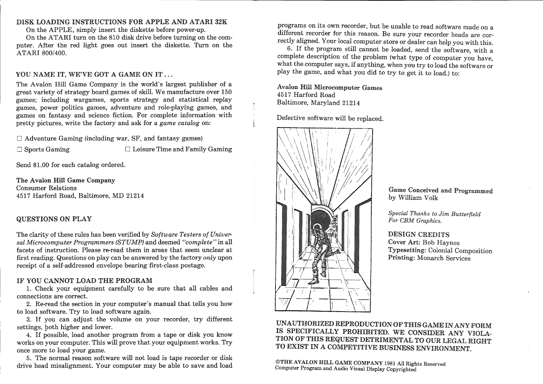### DISK LOADING INSTRUCTIONS FOR APPLE AND ATARI 32K

On the APPLE, simply insert the diskette before power-up.

On the ATARI turn on the 810 disk drive before turning on the computer. After the red light goes out insert the diskette. Turn on the ATARI 800/400.

### YOU NAME IT, WE'VE GOT A GAME ON IT...

The Avalon Hill Game Company is the world's largest publisher of a great variety of strategy board games of skill. We manufacture over  $150$ games; including wargames, sports strategy and statistical replay games, power politics games, adventure and role-playing games, and games on fantasy and science fiction. For complete information with pretty pictures, write the factory and ask for a *game catalog* on:

 $\Box$  Adventure Gaming (including war, SF, and fantasy games)

 $\Box$  Sports Gaming  $\Box$  Leisure Time and Family Gaming

Send \$1.00 for each catalog ordered.

The Avalon Hill Game Company Consumer Relations 4517 Harford Road, Baltimore, MD 21214

### QUESTIONS ON PLAY

The clarity of these rules has been verified by *Software Testers of Universal Microcomputer Programmers (STUMP)* and deemed *"complete"* in all facets of instruction. Please re-read them in areas that seem unclear at first reading. Questions on play can be answered by the factory *only* upon receipt of a self-addressed envelope bearing first-class postage.

#### IF YOU CANNOT LOAD THE PROGRAM

1. Check your equipment carefully to be sure that all cables and connections are correct.

2. Re-read the section in your computer's manual that tells you how to load software. Try to load software again.

3. If you can adjust the volume on your recorder, try different settings, both higher and lower.

4. If possible, load another program from a tape or disk you know works on your computer. This will prove that your equipment works. Try once more to load your game. .

5. The normal reason software will not load is tape recorder or disk drive head misalignment. Your computer may be able to save and load

programs on its own recorder, but be unable to read software made on a different recorder for this reason. Be sure your recorder heads are correctly aligned. Your local computer store or dealer can help you with this.

6. If the program still cannot be loaded, send the software, with a complete description of the problem (what type of computer you have, what the computer says, if anything, when you try to load the software or play the game, and what you did to try to get it to load.) to:

Avalon Hill Microcomputer Games 4517 Harford Road Baltimore, Maryland 21214

Defective software will be replaced.



Game Conceived and Programmed by William Volk

*Special Thanks to Jim Butterfield For CBM Graphics.*

### DESIGN CREDITS

Cover Art: Bob Haynes Typesetting: Colonial Composition Printing: Monarch Services

UNAUTHORIZED REPRODUCTION OF THIS GAME INANY FORM IS SPECIFICALLY PROHIBITED. WE CONSIDER ANY VIOLA-TION OF THIS REQUEST DETRIMENTAL TO OUR LEGAL RIGHT TO EXIST IN A COMPETITIVE BUSINESS ENVIRONMENT.

©THE AVALON HILL GAME COMPANY 1981 All Rights Reserved Computer Program and Audio Visual Display Copyrighted